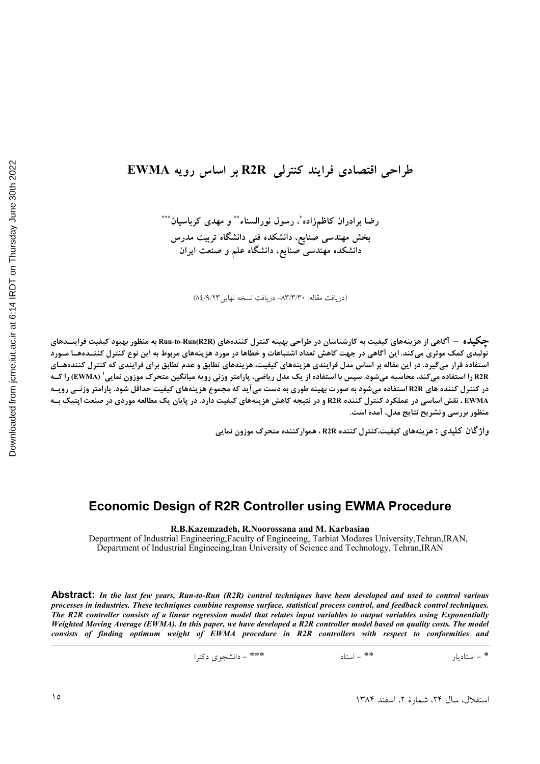## طراحی اقتصادی فرایند کنترلی R2R بر اساس رویه EWMA

(دريافت مقاله: ۸۳/۳/۳۰– دريافت نسخه نهايي ۸٤/٩/٢٣)

چگیده – آگاهی از هزینههای کیفیت به کارشناسان در طراحی بهینه کنترل کنندههای (Run-to-Run(R2R به منظور بهبود کیفیت فراینــدهای .<br>تولیدی کمک موثری میکند. این آگاهی در جهت کاهش تعداد اشتباهات و خطاها در مورد هزینههای مربوط به این نوع کنترل کننــدههــا مــورد استفاده قرار میگیرد. در این مقاله بر اساس مدل فرایندی هزینههای کیفیت، هزینههای تطابق و عدم تطابق برای فرایندی که کنترل کنندههـای R2R را استفاده میکند، محاسبه میشود. سپس با استفاده از یک مدل ریاضی، پارامتر وزنی رویه میانگین متحرک موزون نمایی ( EWMA) را کــه در کنترل کننده های R2R استفاده میشود به صورت بهینه طوری به دست میآید که مجموع هزینههای کیفیت حداقل شود. پارامتر وزنـی رویـه EWMA ، نقش اساسی در عملکرد کنترل کننده R2R و در نتیجه کاهش هزینههای کیفیت دارد. در پایان یک مطالعه موردی در صنعت اپتیک بـه منظور بررسی وتشریح نتایج مدل، آمده است.

واژگان کلیدی : هزینههای کیفیت،کنترل کننده R2R ، هموارکننده متحرک موزون نمایی

## **Economic Design of R2R Controller using EWMA Procedure**

R.B.Kazemzadeh, R.Noorossana and M. Karbasian

Department of Industrial Engineering, Faculty of Engineeing, Tarbiat Modares University, Tehran, IRAN, Department of Industrial Engineeing, Iran University of Science and Technology, Tehran, IRAN

**Abstract:** In the last few years, Run-to-Run (R2R) control techniques have been developed and used to control various processes in industries. These techniques combine response surface, statistical process control, and feedback control techniques. The R2R controller consists of a linear regression model that relates input variables to output variables using Exponentially Weighted Moving Average (EWMA). In this paper, we have developed a R2R controller model based on quality costs. The model consists of finding optimum weight of EWMA procedure in R2R controllers with respect to conformities and

> \*\*\* - دانشجوی دکترا \*\* – استاد

\* - استاديار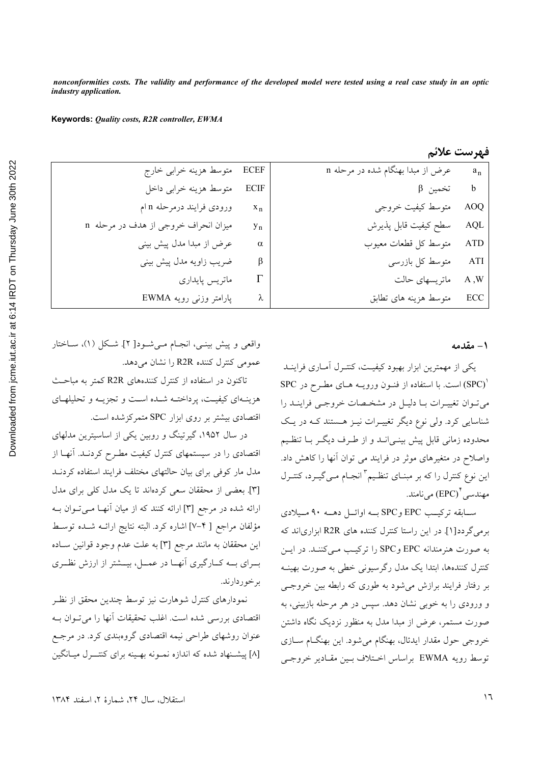*nonconformities costs. The validity and performance of the developed model were tested using a real case study in an optic industry application.* 

**Keywords:** *Quality costs, R2R controller, EWMA*

| فهرست علائم |  |
|-------------|--|
|             |  |

| $a_n$       | عرض از مبدا بهنگام شده در مرحله n |             | ECEF متوسط هزينه خرابي خارج          |
|-------------|-----------------------------------|-------------|--------------------------------------|
| $\mathbf b$ | تخمين β                           | <b>ECIF</b> | متوسط هزينه خرابى داخل               |
| <b>AOQ</b>  | متوسط كيفيت خروجي                 | $x_n$       | ورودي فرايند درمرحله n ام            |
| AQL         | سطح كيفيت قابل پذيرش              | $y_n$       | میزان انحراف خروجی از هدف در مرحله n |
| <b>ATD</b>  | متوسط كل قطعات معيوب              | $\alpha$    | عرض از مبدا مدل پیش بینی             |
| ATI         | متوسط کل بازرسی                   | β           | ضریب زاویه مدل پیش بینی              |
| A, W        | ماتريسهاي حالت                    | Г           | ماتريس پايداري                       |
| ECC         | متوسط هزينه هاى تطابق             | λ           | پارامتر وزنی رویه EWMA               |

**۱ – مقدمه** 

یکی از مهمترین ابزار بهبود کیفیــت، کنتــرل امــاری فراینــد SPC است. با استفاده از فنـون ورويــه هــاي مطـرح در SPC مي تــوان تغييــرات بــا دليــل در مشخــصات خروجــي فراينــد را شناسایی کرد. ولی نوع دیگر تغییـرات نیـز هـستند کـه در یـک محدوده زمانی قابل پیش بینـی|نــد و از طــرف دیگــر بــا تنظـیم واصلاح در متغیرهای موثر در فرایند می توان آنها را کاهش داد. این نوع کنترل را که بر مبنـای تنظـیم ّ انجـام مـیگیـرد، کنتـرل مهندسی ٔ (EPC) می نامند.

سابقه ترکیب EPC وSPC بــه اوائــل دهــه ۹۰ مــیلادی برمیگردد[۱]. در این راستا کنترل کننده های R2R ابزاری|ند که به صورت هنرمندانه EPC وSPC را ترکیب مـی کننـد. در ایــن کنترل کنندهها، ابتدا یک مدل رگرسیونی خطی به صورت بهینــه بر رفتار فرایند برازش می شود به طوری که رابطه بین خروجے و ورودي را به خوبي نشان دهد. سيس در هر مرحله بازبيني، به صورت مستمر، عرض از مبدا مدل به منظور نزدیک نگاه داشتن خروجی حول مقدار ایدئال، بهنگام میشود. این بهنگـام ســازی توسط رويه EWMA براساس اختلاف بـين مقـادير خروجـي

واقعی و پیش بینـی، انجـام مـیشـود[ ۲] شـكل (۱)، سـاختار عمومی کنترل کننده R2R را نشان میدهد.

تاکنون در استفاده از کنترل کنندههای R2R کمتر به مباحـث هزینـهای کیفیـت، پرداختــه شــده اسـت و تجزیــه و تحلیلهــای اقتصادی بیشتر بر روی ابزار SPC متمرکزشده است.

در سال ۱۹۵۲، گیرتینگ و روبین یکی از اساسیترین مدلهای اقتصادی را در سیستمهای کنترل کیفیت مطـرح کردنــد. انهــا از مدل مار کوفی برای بیان حالتهای مختلف فرایند استفاده کردنــد [۳]. بعضی از محققان سعی کردهاند تا یک مدل کلی برای مدل ارائه شده در مرجع [۳] ارائه كنند كه از ميان آنهـا مـىتوان بــه مؤلفان مراجع [ ۴–۷] اشاره کرد. البته نتایج ارائــه شــده توسـط این محققان به مانند مرجع [۳] به علت عدم وجود قوانین سـاده بـراي بــه كــارگيري أنهــا در عمــل، بيــشتر از ارزش نظــري بر خور دارند.

نمودارهای کنترل شوهارت نیز توسط چندین محقق از نظـر اقتصادی بررسی شده است. اغلب تحقیقات آنها را می تـوان بــه عنوان روشهای طراحی نیمه اقتصادی گروهبندی کرد. در مرجـع [۸] پیشـنهاد شده که اندازه نمــونه بهــینه برای کنتـــرل میــانگین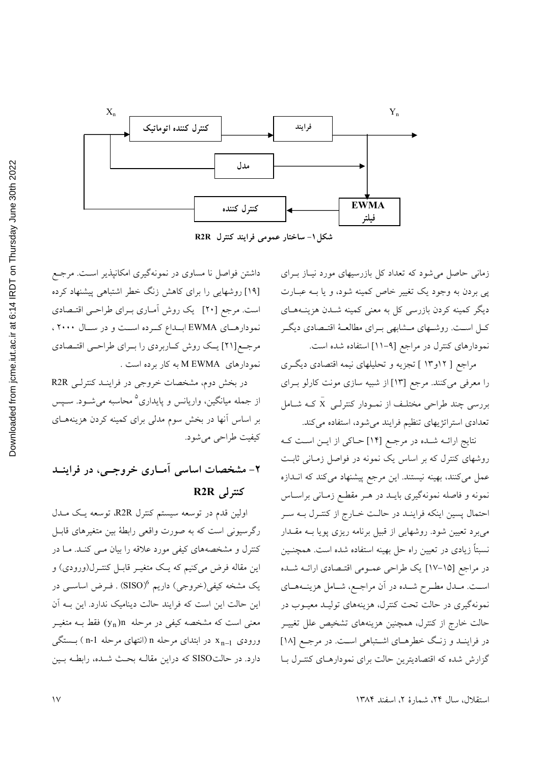

**R2R " >' ?3 @ 5=:;<**

زمانی حاصل می شود که تعداد کل بازرسیهای مورد نیـاز بـرای پی بردن به وجود یک تغییر خاص کمینه شود، و یا بـه عبـارت دیگر کمینه کردن بازرسی کل به معنی کمینه شــدن هزینــههــای كـل اســت. روشــهاي مــشابهي بــراي مطالعــهٔ اقتــصادي ديگــر نمودارهای کنترل در مراجع [۹–۱۱] استفاده شده است.

> مراجع [ ۱۲و۱۳ ] تجزیه و تحلیلهای نیمه اقتصادی دیگـری را معرفی میکنند. مرجع [۱۳] از شبیه سازی مونت کارلو برای بررسی چند طراحی مختلـف از نمـودار کنترلـی  $\bar{\rm X}$  کـه شــامل تعدادي استراتژيهاي تنظيم فرايند مي شود، استفاده مي كند.

> نتايج ارائـه شـده در مرجـع [۱۴] حـاكي از ايـن اسـت كـه روشهای کنترل که بر اساس یک نمونه در فواصل زمـانی ثابـت عمل میکنند، بهینه نیستند. این مرجع پیشنهاد میکند که ان<mark>ـدازه</mark> نمونه و فاصله نمونهگیری بایــد در هــر مقطــع زمــانی براســاس احتمال پسین اینکه فراینـد در حالـت خــارج از کنتــرل بــه ســر میبرد تعیین شود. روشهایی از قبیل برنامه ریزی پویا بـه مقــدار نسبتاً زیادی در تعیین راه حل بهینه استفاده شده است. همچنـین در مراجع [۱۵-۱۷] یک طراحی عمـومی اقتـصادی ارائـه شـده اســت. مــدل مطــرح شــده در ان مراجــع، شــامل هزينــههــاي نمونهگیری در حالت تحت کنترل، هزینههای تولیــد معیــوب در حالت خارج از کنترل، همچنین هزینههای تشخیص علل تغییــر در فراینـد و زنـگ خطرهـای اشـتباهی اسـت. در مرجـع [۱۸] گزارش شده که اقتصادیترین حالت برای نمودارهـای کنتــرل بــا

استقلال، سال ۲۴، شمارهٔ ۲، اسفند ۱۳۸۴

داشتن فواصل نا مساوی در نمونهگیری امکانپذیر است. مرجع [۱۹] روشهایی را برای کاهش زنگ خطر اشتباهی پیشنهاد کرده است. مرجع [۲۰] یک روش آمـاری بــرای طراحــی اقتــصادی نمودارهــاي EWMA ابــداع كــرده اســت و در ســال ۲۰۰۰، مرجـع[۲۱] یــک روش کــاربردي را بــراي طراحــي اقتــصادي نمودارهای M EWMA به کار برده است .

در بخش دوم، مشخصات خروجی در فراینـد کنترلـی R2R از جمله میانگین، واریانس و پایداری<sup>۵</sup> محاسبه میشود. سـپس بر اساس آنها در بخش سوم مدلی برای کمینه کردن هزینههـای كيفيت طراحي مي شود.

# **۲**- مشخصات اساسی امـاری خروجـی، در فراینــد **R2R**

اولین قدم در توسعه سیستم کنترل R2R، توسعه یـک مــدل رگرسیونی است که به صورت واقعی رابطهٔ بین متغیرهای قابـل کنترل و مشخصههای کیف<sub>ی</sub> مورد علاقه را بیان مــی کنــد. مــا در این مقاله فرض میکنیم که یـک متغیــر قابــل کنتــرل(ورودی) و یک مشخه کیفی(خروجی) داریم °(SISO) . فــرض اساســی در این حالت این است که فرایند حالت دینامیک ندارد. این بـه آن معنی است که مشخصه کیفی در مرحله  $(y_n)$  فقط بــه متغیــر  $\zeta_1$ ورودی 1 $\zeta_{n-1}$  در ابتدای مرحله n (انتهای مرحله 1-n) بستگی دارد. در حالتSISO كه دراين مقالـه بحث شـده، رابطـه بـين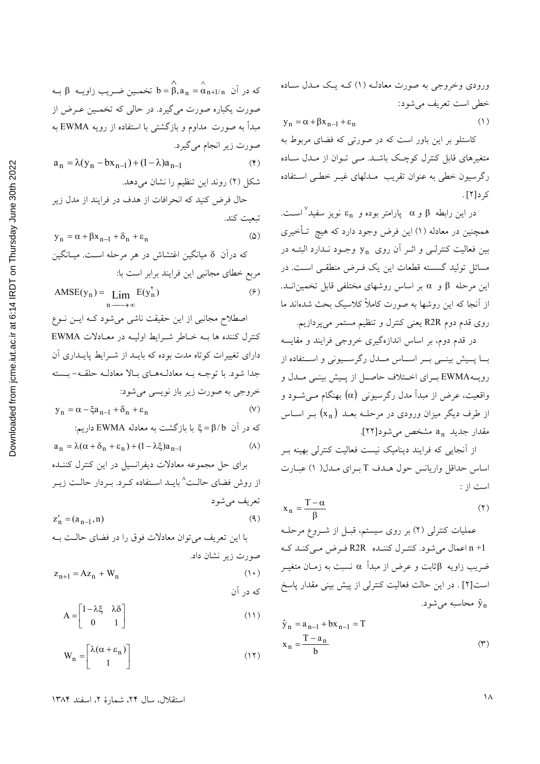ورودی وخروجی به صورت معادلـه (۱) کــه یــک مــدل ســاده خطي است تعريف مي شود:

 $y_n = \alpha + \beta x_{n-1} + \varepsilon_n$  (1)

کاستلو بر این باور است که در صورتی که فضای مربوط به متغیرهای قابل کنترل کوچک باشــد. مــی تــوان از مــدل ســاده رگرسیون خطی به عنوان تقریب مـدلهای غیـر خطـی اسـتفاده کر د[۲] .

در این رابطه β و α پارامتر بوده و  $\varepsilon_{\rm n}$  نویز سفید $^{V}$ اسـت. همچنین در معادله (۱) این فرض وجود دارد که هیچ تأخیری بین فعالیت کنترلــی و اثــر آن روی  ${\rm y}_{\rm n}$  وجــود نــدارد البتــه در مسائل توليد گسسته قطعات اين يک فـرض منطقـي اسـت. در  $\alpha$  این مرحله  $\beta$  و  $\alpha$  بر اساس روشهای مختلفی قابل تخمینانــد. از آنجا که این روشها به صورت کاملاً کلاسیک بحث شدهاند ما روی قدم دوم R2R یعنی کنترل و تنظیم مستمر میپردازیم.

در قدم دوم، بر اساس اندازهگیری خروجی فرایند و مقایسه بــا پـــیش بینـــی بـــر اســـاس مـــدل رگرســـیونی و اســـتفاده از رویــه EWMA بــرای اخــتلاف حاصــل از پــیش بینــی مــدل و واقعیت، عرض از مبدأ مدل رگرسیونی  $(\alpha)$  بهنگام مـیشــود و از طرف دیگر میزان ورودی در مرحلــه بعــد  $\rm (x_{\,n}\,)$  بــر اســاس مقدار جدید a<sub>n</sub> مشخص میشود[۲۲].

از آنجایی که فرایند دینامیک نیست فعالیت کنترلی بهینه ب اساس حداقل واریانس حول هــدف T بــرای مــدل( ۱) عبــارت است از :

$$
x_n = \frac{T - \alpha}{\beta} \tag{7}
$$

عملیات کنترلی (۲) بر روی سیستم، قبـل از شـروع مرحلـه n +1 اعمال میشود. کنتـرل کننـده R2R فـرض مـیکنـد کـه ضریب زاویه  $\beta$ ثابت و عرض از مبدأ  $\alpha$  نسبت به زمـان متغیــر است[۲] . در این حالت فعالیت کنترلی از پیش بینی مقدار پاسخ محاسبه می شود.  $\hat{y}_n$ 

$$
\hat{y}_n = a_{n-1} + bx_{n-1} = T
$$
  

$$
x_n = \frac{T - a_n}{b}
$$
 (\*)

 $b = \beta$ ,  $a_n = \alpha_{n+1/n}$  که در آن  $\wedge$ تخمين ضريب زاويـه  $\beta$  بـه  $b = \beta, a_n = \alpha$ صورت يكباره صورت ميگيرد. در حالي كه تخمـين عـرض از مبدأ به صورت مداوم و بازگشتی با استفاده از رویه EWMA به صورت زير انجام مي گيرد.

 $a_n = \lambda (y_n - bx_{n-1}) + (1 - \lambda)a_{n-1}$  (\*) شکل (۲) روند این تنظیم را نشان م<sub>ی</sub>دهد.

حال فرض کنید که انحرافات از هدف در فرایند از مدل زیر تبعيت كند.

$$
y_n = \alpha + \beta x_{n-1} + \delta_n + \varepsilon_n \tag{2}
$$

که درآن δ میانگین اغتشاش در هر مرحله اسـت. میـانگین مربع خطاي مجانبي اين فرايند برابر است با:

$$
AMSE(y_n) = \lim_{n \to \infty} E(y_n^{\mathbf{v}})
$$
 (9)

اصطلاح مجانبی از این حقیقت ناش<sub>ع</sub> میشود کـه ایــن نــوع کنترل کننده ها بــه خــاطر شــرايط اوليــه در معــادلات EWMA دارای تغییرات کوتاه مدت بوده که بایــد از شــرایط پایــداری آن جدا شود. با توجـه بـه معادلـههـاي بـالا معادلـه حلقـه- بـسته خروجي به صورت زير باز نويسي مي شود:  $y_n = \alpha - \xi a_{n-1} + \delta_n + \varepsilon_n$  (v)  $\pm$ و EWMA در آن  $\beta/b$  = گم با بازگشت به معادله  $a_n = \lambda(\alpha + \delta_n + \varepsilon_n) + (1 - \lambda \xi) a_{n-1}$  (A) برای حل مجموعه معادلات دیفرانسیل در این کنترل کننــده

از روش فضای حالـت<sup>^</sup> بایــد اسـتفاده کـرد. بـردار حالـت زیـر تعریف مے شو د  $z'_n = (a_{n-1}, n)$  (9)

\; \7 1s à2 Pá O W 2B) r/OB @ ; . W4& /= P
2i

$$
z_{n+1} = Az_n + W_n
$$
 (1)

$$
\begin{array}{c}\n\text{S.} \\
\text{S.} \\
\text{S.} \\
\text{S.} \\
\text{S.} \\
\text{S.} \\
\text{S.} \\
\text{S.} \\
\text{S.} \\
\text{S.} \\
\text{S.} \\
\text{S.} \\
\text{S.} \\
\text{S.} \\
\text{S.} \\
\text{S.} \\
\text{S.} \\
\text{S.} \\
\text{S.} \\
\text{S.} \\
\text{S.} \\
\text{S.} \\
\text{S.} \\
\text{S.} \\
\text{S.} \\
\text{S.} \\
\text{S.} \\
\text{S.} \\
\text{S.} \\
\text{S.} \\
\text{S.} \\
\text{S.} \\
\text{S.} \\
\text{S.} \\
\text{S.} \\
\text{S.} \\
\text{S.} \\
\text{S.} \\
\text{S.} \\
\text{S.} \\
\text{S.} \\
\text{S.} \\
\text{S.} \\
\text{S.} \\
\text{S.} \\
\text{S.} \\
\text{S.} \\
\text{S.} \\
\text{S.} \\
\text{S.} \\
\text{S.} \\
\text{S.} \\
\text{S.} \\
\text{S.} \\
\text{S.} \\
\text{S.} \\
\text{S.} \\
\text{S.} \\
\text{S.} \\
\text{S.} \\
\text{S.} \\
\text{S.} \\
\text{S.} \\
\text{S.} \\
\text{S.} \\
\text{S.} \\
\text{S.} \\
\text{S.} \\
\text{S.} \\
\text{S.} \\
\text{S.} \\
\text{S.} \\
\text{S.} \\
\text{S.} \\
\text{S.} \\
\text{S.} \\
\text{S.} \\
\text{S.} \\
\text{S.} \\
\text{S.} \\
\text{S.} \\
\text{S.} \\
\text{S.} \\
\text{S.} \\
\text{S.} \\
\text{S.} \\
\text{S.} \\
\text{S.} \\
\text{S.} \\
\text{S.} \\
\text{S.} \\
\text{S.} \\
\text{S.} \\
\text{S.} \\
\text{S.} \\
\text{S.} \\
\text{S.} \\
\text{S.} \\
\text{S.} \\
\text{S.} \\
\text{S.} \\
\text{S.} \\
\text{S.} \\
\text{S.} \\
\text{S.} \\
\text{S.} \\
\text{S.} \\
\text{
$$

$$
A = \begin{bmatrix} 1 - \lambda \xi & \lambda \delta \\ 0 & 1 \end{bmatrix}
$$
 (11)

$$
W_n = \begin{bmatrix} \lambda(\alpha + \varepsilon_n) \\ 1 \end{bmatrix} \tag{17}
$$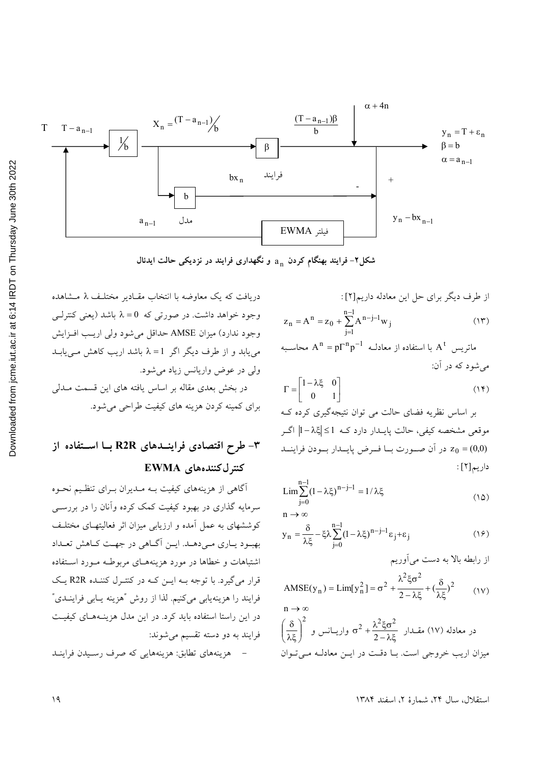

شکل۲- فرایند بهنگام کردن <sub>an</sub> و نگهداری فرایند در نزدیکی حالت ایدئال

از طرف دیگر برای حل این معادله داریم[۲]:

$$
z_n = A^n = z_0 + \sum_{j=1}^{n-1} A^{n-j-1} w_j
$$
 (17)

ماتریس  $\mathrm{A}^{\, \mathrm{t}}$  با استفاده از معادلـه  $\mathrm{P}^{-1}$   $\mathrm{A}^{\, \mathrm{t}}$  محاسـ می شود که در آن:

$$
\Gamma = \begin{bmatrix} 1 - \lambda \xi & 0 \\ 0 & 1 \end{bmatrix} \tag{17}
$$

بر اساس نظریه فضای حالت می توان نتیجهگیری کرده ک موقعی مشخصه کیفی، حالت پایـدار دارد کـه 1≥|&−1| اگـر در آن صورت با فرض پایلدار بودن فراینلد  $z_0 = (0,0)$ داریم[۲] :

$$
\lim_{j=0}^{\infty} (1 - \lambda \xi)^{n-j-1} = 1/\lambda \xi
$$
\n
$$
n \to \infty
$$
\n(10)

$$
\sum_{n=-\infty}^{\infty} -\xi \lambda \sum_{n=1}^{n-1} (1-\lambda \xi)^{n-j-1} \varepsilon_i + \varepsilon
$$

$$
y_n = \frac{\delta}{\lambda \xi} - \xi \lambda \sum_{j=0}^{\infty} (1 - \lambda \xi)^{n-j-1} \varepsilon_j + \varepsilon_j \tag{19}
$$

از رابطه بالا به دست می آوریم

$$
AMSE(y_n) = \text{Lim}[y_n^2] = \sigma^2 + \frac{\lambda^2 \xi \sigma^2}{2 - \lambda \xi} + (\frac{\delta}{\lambda \xi})^2 \tag{1V}
$$

n → ∞
$$
\left(\frac{\delta}{\lambda \xi}\right)^2 \quad \text{or} \quad \frac{\lambda^2 \xi \sigma^2}{2 - \lambda \xi}
$$
 (۱۷) مقدار  
میدان اریب خروجی است. با دقت در این معادله می توان

دریافت که یک معاوضه با انتخاب مقـادیر مختلـف ۸ مـشاهده وجود خواهد داشت. در صورتی که  $0 = \lambda = 0$  باشد (یعنی کنترلبی وجود ندارد) میزان AMSE حداقل میشود ولی اریـب افــزایش می یابد و از طرف دیگر اگر 1= λ باشد اریب کاهش مے یابـد ولي در عوض واريانس زياد مي شود.

در بخش بعدی مقاله بر اساس یافته های این قسمت مــدلی برای کمینه کردن هزینه های کیفیت طراحی می شود.

# ۳- طرح اقتصادی فراینــدهای R2R بــا اســتفاده از كنترل كنندههاى EWMA

آگاهی از هزینههای کیفیت بـه مـدیران بـرای تنظـیم نحـوه سرمایه گذاری در بهبود کیفیت کمک کرده وأنان را در بررســی کوششهای به عمل آمده و ارزیابی میزان اثر فعالیتهای مختلف بهبود یـاري مـيدهـد. ايـن اَگـاهي در جهـت كـاهش تعـداد اشتباهات و خطاها در مورد هزینههـای مربوطـه مـورد اسـتفاده قرار می گیرد. با توجه بـه ایـن کـه در کنتـرل کننـده R2R یـک فرايند را هزينهيابي ميكنيم. لذا از روش "هزينه يـابي فراينــدي" در این راستا استفاده باید کرد. در این مدل هزینـههـای کیفیـت فرايند به دو دسته تقسيم مي شوند: هزینههای تطابق: هزینههایی که صرف رسیدن فراینـد

استقلال، سال ٢۴، شمارة ٢، اسفند ١٣٨۴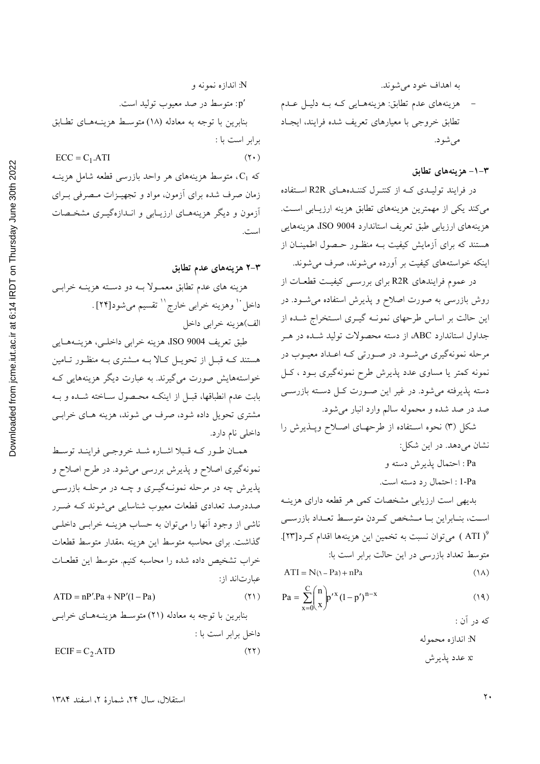به اهداف خود مي شوند.

هزینههای عدم تطابق: هزینههایی کـه بـه دلیـل عـدم تطابق خروجي با معيارهاي تعريف شده فرايند، ايجاد مىشود.

#### ۰۱–۳ هزینههای تطابق

در فرایند تولیـدی کـه از کنتـرل کننـدههـای R2R اسـتفاده می کند یکی از مهمترین هزینههای تطابق هزینه ارزیابی است. هزينههاي ارزيابي طبق تعريف استاندارد ISO 9004 هزينههايي هستند که برای آزمایش کیفیت بـه منظـور حـصول اطمینــان از اینکه خواستههای کیفیت بر آورده می شوند، صرف می شوند.

در عموم فرایندهای R2R برای بررسمی کیفیت قطعـات از روش بازرسی به صورت اصلاح و پذیرش استفاده می شود. در این حالت بر اساس طرحهای نمونـه گیــری اسـتخراج شــده از جداول استاندارد ABC، از دسته محصولات تولید شـده در هـر مرحله نمونهگیری میشود. در صورتی کـه اعـداد معیـوب در .<br>نمونه کمتر یا مساوی عدد پذیرش طرح نمونهگیری بـود ، کـل دسته پذیرفته میشود. در غیر این صورت کـل دسـته بازرسـی صد در صد شده و محموله سالم وارد انبار میشود.

شکل (۳) نحوه استفاده از طرحهای اصلاح وپـذیرش را نشان میدهد. در این شکل:

Pa : احتمال يذيرش دسته و

1-Pa : احتمال رد دسته است.

بدیهی است ارزیابی مشخصات کمی هر قطعه دارای هزینـه است، بنـابراين بـا مـشخص كـردن متوسـط تعـداد بازرسـي ( ATI ) میتوان نسبت به تخمین این هزینهها اقدام کرد[۲۳]. متوسط تعداد بازرسی در این حالت برابر است با:

$$
ATI = N(\lambda - Pa) + nPa \tag{1A}
$$

$$
Pa = \sum_{x=0}^{C} {n \choose x} p'^x (1-p')^{n-x}
$$
 (19)

N: اندازه محموله

c: عدد پذيرش

N: اندازه نمونه و p': متوسط در صد معيوب توليد است. بنابرین با توجه به معادله (١٨) متوسط هزینـههـای تطـابق برابر است با :  $ECC = C<sub>1</sub> . ATI$  $(Y \cdot )$ که C<sub>1</sub>، متوسط هزینههای هر واحد بازرسی قطعه شامل هزینـه

زمان صرف شده برای آزمون، مواد و تجهیـزات مـصرفی بـرای آزمون و دیگر هزینههــای ارزیــابی و انــدازهگیــری مشخــصات است.

## ۳–۲ هزینههای عدم تطابق

هزینه های عدم تطابق معمـولا بــه دو دســته هزینــه خرابــی داخل `` وهزينه خرابي خارج `` تقسيم ميشود[٢۴] . الف)هزينه خرابي داخل

طبق تعريف ISO 9004، هزينه خرابي داخلـي، هزينــهـمـايي هستند کـه قبـل از تحویـل کـالا بـه مـشتری بـه منظـور تـامین خواستههایش صورت میگیرند. به عبارت دیگر هزینههایی ک بابت عدم انطباقها، قبـل از اينكـه محـصول سـاخته شـده وبـه مشتري تحويل داده شود، صرف مي شوند، هزينه هـاي خرابـي داخلي نام دارد.

همان طور كـه قـبلا اشـاره شـد خروجـي فراينـد توسـط نمونهگیری اصلاح و پذیرش بررسی میشود. در طرح اصلاح و پذیرش چه در مرحله نمونهگیـری و چــه در مرحلــه بازرســی صددرصد تعدادي قطعات معيوب شناسايي مى شوند كـه ضـرر ناشي از وجود آنها را مي توان به حساب هزينــه خرابــي داخلــي گذاشت. برای محاسبه متوسط این هزینه ،مقدار متوسط قطعات خراب تشخيص داده شده را محاسبه كنيم. متوسط اين قطعـات عبارتاند از:

$$
ATD = nP' . Pa + NP'(1 - Pa)
$$
 (71)

بنابرین با توجه به معادله (۲۱) متوسط هزینـههـای خرابـی داخل برابر است با :  $C = C + C$ 

$$
ECIF = C_2 \cdot ATD \tag{77}
$$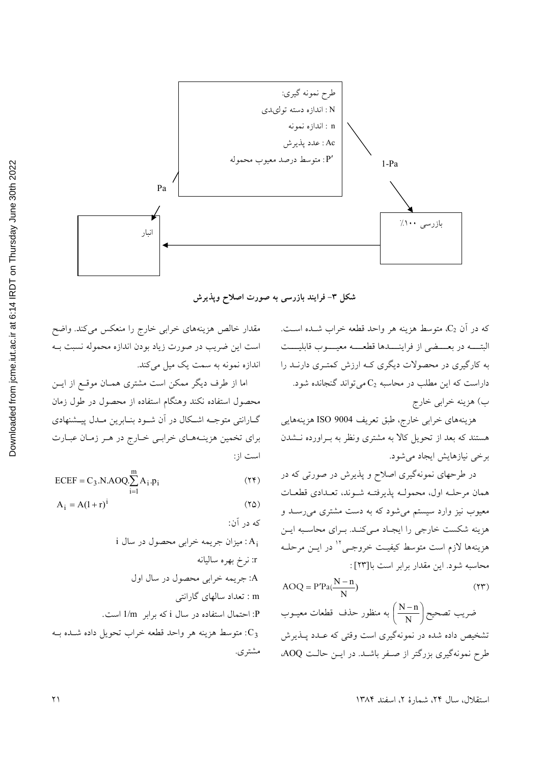

شکل ۳- فرایند بازرسی به صورت اصلاح وپذیرش

که در آن یی متوسط هزینه هر واحد قطعه خراب شـده اسـت. البتـــه در بعـــضي از فراينــــدها قطعــــه معيـــوب قابليـــت به کارگیری در محصولات دیگری کـه ارزش کمتـری دارنــد را داراست که این مطلب در محاسبه  $C_2$  می تواند گنجانده شود. ب) هزينه خرابي خارج

هزينههاي خرابي خارج، طبق تعريف ISO 9004 هزينههايي هستند که بعد از تحویل کالا به مشتری ونظر به بـراورده نـشدن برخي نيازهايش ايجاد مي شود.

در طرحهای نمونهگیری اصلاح و پذیرش در صورتی که در همان مرحلـه اول، محمولـه پذیرفتـه شـوند، تعـدادی قطعـات معیوب نیز وارد سیستم می شود که به دست مشتری می رسـد و هزینه شکست خارجی را ایجاد میکند. برای محاسبه این هزينهها لازم است متوسط كيفيـت خروجـي" در ايـن مرحلـه محاسبه شود. اين مقدار برابر است با[٢٣]:

$$
AOQ = P'Pa(\frac{N-n}{N})
$$
 (YY)

ضریب تصحیح $\left(\frac{{\rm N-n}}{{\rm N}}\right)$ به منظور حذف قطعات معیـوب تشخیص داده شده در نمونهگیری است وقتی که عـدد پــذیرش طرح نمونهگیری بزرگتر از صفر باشـد. در ایــن حالـت AOQ،

مقدار خالص هزینههای خرابی خارج را منعکس میکند. واضح است این ضریب در صورت زیاد بودن اندازه محموله نسبت بـه اندازه نمونه به سمت یک میل میکند.

اما از طرف دیگر ممکن است مشتری همـان موقـع از ایـن محصول استفاده نکند وهنگام استفاده از محصول در طول زمان گــارانتي متوجــه اشــكال در آن شــود بنــابرين مــدل پيــشنهادي برای تخمین هزینـههـای خرابـی خـارج در هـر زمـان عبـارت است از:

$$
ECEF = C_3.N.AOQ.\sum_{i=1}^{m} A_i.p_i
$$
 (Y\*)

$$
A_i = A(1+r)^1 \tag{72}
$$

Downloaded from jcme.iut.ac.ir at 6:14 IRDT on Thursday June 30th 2022

استقلال، سال ٢۴، شمارة ٢، اسفند ١٣٨۴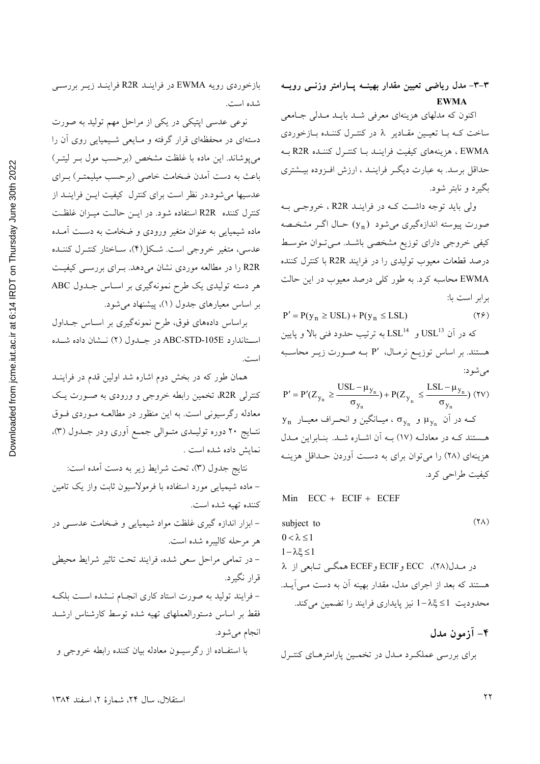اکنون که مدلهای هزینهای معرفی شـد بایـد مـدلی جـامعی ساخت کـه بـا تعيـين مقـادير ٨ در کنتـرل کننـده بـازخوردي EWMA ، هزينههاي كيفيت فراينـد بـا كنتـرل كننـده R2R بـه حداقل برسد. به عبارت دیگر فراینـد ، ارزش افـزوده بیــشتری بگيرد و نابتر شود.

ولی باید توجه داشت که در فراینـد R2R ، خروجـی بـه صورت پیوسته اندازهگیری می شود (y<sub>n</sub>) حـال اگـر مشخـصه کیفی خروجی دارای توزیع مشخصی باشد. میتوان متوسط درصد قطعات معیوب تولیدی را در فرایند R2R با کنترل کننده EWMA محاسبه كرد. به طور كلي درصد معيوب در اين حالت برابر است با:

 $P' = P(y_n \getext{USL}) + P(y_n \leq \text{LSL})$  $(19)$ 

كه در آن  ${\rm USL}^{13}$  و  ${\rm LSL}^{14}$  به ترتيب حدود فني بالا و پايين هستند. بر اساس توزیـع نرمـال، P′ بــه صــورت زیــر محاســبه مې شو د:

$$
P' = P'(Z_{y_n} \ge \frac{USL - \mu_{y_n}}{\sigma_{y_n}}) + P(Z_{y_n} \le \frac{LSL - \mu_{y_n}}{\sigma_{y_n}}) \quad (TV)
$$
  
\n
$$
y_n \quad y_{n-1} \quad y_{n-1} \quad y_{n-1} \quad y_{n-1} \quad y_{n-1} \quad y_{n-1} \quad y_{n-1} \quad y_{n-1} \quad y_{n-1} \quad y_{n-1} \quad y_{n-1} \quad y_{n-1} \quad y_{n-1} \quad y_{n-1} \quad y_{n-1} \quad y_{n-1} \quad y_{n-1} \quad y_{n-1} \quad y_{n-1} \quad y_{n-1} \quad y_{n-1} \quad y_{n-1} \quad y_{n-1} \quad y_{n-1} \quad y_{n-1} \quad y_{n-1} \quad y_{n-1} \quad y_{n-1} \quad y_{n-1} \quad y_{n-1} \quad y_{n-1} \quad y_{n-1} \quad y_{n-1} \quad y_{n-1} \quad y_{n-1} \quad y_{n-1} \quad y_{n-1} \quad y_{n-1} \quad y_{n-1} \quad y_{n-1} \quad y_{n-1} \quad y_{n-1} \quad y_{n-1} \quad y_{n-1} \quad y_{n-1} \quad y_{n-1} \quad y_{n-1} \quad y_{n-1} \quad y_{n-1} \quad y_{n-1} \quad y_{n-1} \quad y_{n-1} \quad y_{n-1} \quad y_{n-1} \quad y_{n-1} \quad y_{n-1} \quad y_{n-1} \quad y_{n-1} \quad y_{n-1} \quad y_{n-1} \quad y_{n-1} \quad y_{n-1} \quad y_{n-1} \quad y_{n-1} \quad y_{n-1} \quad y_{n-1} \quad y_{n-1} \quad y_{n-1} \quad y_{n-1} \quad y_{n-1} \quad y_{n-1} \quad y_{n-1} \quad y_{n-1} \quad y_{n-1} \quad y_{n-1} \quad y_{n-1} \quad y_{n-1} \quad y_{n-1} \quad y_{n-1} \quad y_{n-1} \quad y_{n-1} \quad y_{n-1} \quad y_{n-1} \quad y_{n-1} \quad y_{n-1} \
$$

Min  $ECC + ECIF + ECEF$ 

$$
subject to\n0 < \lambda ≤ 1\n1 - \lambda \xi ≤ 1\n1 - \lambda \xi ≤ 1\n% 
$$
ECEF \downarrow ECF \downarrow ECC \quad (\Upsilon \wedge \Upsilon \wedge \Upsilon \wedge \Upsilon \wedge \Upsilon \wedge \Upsilon \wedge \Upsilon \wedge \Upsilon \wedge \Upsilon \wedge \Upsilon \wedge \Upsilon \wedge \Upsilon \wedge \Upsilon \wedge \Upsilon \wedge \Upsilon \wedge \Upsilon \wedge \Upsilon \wedge \Upsilon \wedge \Upsilon \wedge \Upsilon \wedge \Upsilon \wedge \Upsilon \wedge \Upsilon \wedge \Upsilon \wedge \Upsilon \wedge \Upsilon \wedge \Upsilon \wedge \Upsilon \wedge \Upsilon \wedge \Upsilon \wedge \Upsilon \wedge \Upsilon \wedge \Upsilon \wedge \Upsilon \wedge \Upsilon \wedge \Upsilon \wedge \Upsilon \wedge \Upsilon \wedge \Upsilon \wedge \Upsilon \wedge \Upsilon \wedge \Upsilon \wedge \Upsilon \wedge \Upsilon \wedge \Upsilon \wedge \Upsilon \wedge \Upsilon \wedge \Upsilon \wedge \Upsilon \wedge \Upsilon \wedge \Upsilon \wedge \Upsilon \wedge \Upsilon \wedge \Upsilon \wedge \Upsilon \wedge \Upsilon \wedge \Upsilon \wedge \Upsilon \wedge \Upsilon \wedge \Upsilon \wedge \Upsilon \wedge \Upsilon \wedge \Upsilon \wedge \Upsilon \wedge \Upsilon \wedge \Upsilon \wedge \Upsilon \wedge \Upsilon \wedge \Upsilon \wedge \Upsilon \wedge \Upsilon \wedge \Upsilon \wedge \Upsilon \wedge \Upsilon \wedge \Upsilon \wedge \Upsilon \wedge \Upsilon \wedge \Upsilon \wedge \Upsilon \wedge \Upsilon \wedge \Upsilon \wedge \Upsilon \wedge \Upsilon \wedge \Upsilon \wedge \Upsilon \wedge \Upsilon \wedge \Upsilon \wedge \Upsilon \wedge \Upsilon \wedge \Upsilon \wedge \Upsilon \wedge \Upsilon \wedge \Upsilon \wedge \Upsilon \wedge \Upsilon \wedge \Upsilon \wedge \Upsilon \wedge \Upsilon \wedge \Upsilon \wedge \Upsilon \wedge \Upsilon \wedge \Upsilon \wedge \Upsilon \wedge \Upsilon \wedge \Upsilon \wedge \Upsilon \wedge \Upsilon \wedge \Upsilon \wedge \Upsilon \wedge \Upsilon \wedge \Upsilon \wedge \Upsilon \wedge \Upsilon \wedge \Upsilon \wedge \Upsilon \wedge \Upsilon \wedge
$$
$$

۴- آزمون مدل برای بررسی عملکرد مـدل در تخمـین پارامترهـای کنتـرل

بازخوردي رويه EWMA در فراينـد R2R فراينـد زيـر بررسـي شده است.

نوعی عدسی اپتیکی در یکی از مراحل مهم تولید به صورت دستهای در محفظهای قرار گرفته و مـایعی شـیمیایی روی آن را می یوشاند. این ماده با غلظت مشخص (برحسب مول بـر لیتـر) باعث به دست آمدن ضخامت خاصی (برحسب میلیمتـر) بـرای عدسیها می شود.در نظر است برای کنترل کیفیت ایس فراینــد از كنترل كننده R2R استفاده شود. در ايــن حالــت ميــزان غلظـت ماده شیمیایی به عنوان متغیر ورودی و ضخامت به دست آمـده عدسی، متغیر خروجی است. شکل(۴)، سـاختار کنتـرل کننـده R2R را در مطالعه موردی نشان می دهد. بهرای بررستی کیفیت هر دسته تولیدی یک طرح نمونهگیری بر اسـاس جـدول ABC بر اساس معیارهای جدول (۱)، پیشنهاد می شود.

براساس دادههای فوق، طرح نمونهگیری بر اساس جـداول استاندارد ABC-STD-105E در جلدول (٢) نـشان داده شـده

همان طور که در بخش دوم اشاره شد اولین قدم در فراینــد کنترلی R2R، تخمین رابطه خروجی و ورودی به صورت یک معادله رگرسیونی است. به این منظور در مطالعـه مـوردی فـوق نتـايج ٢٠ دوره توليـدي متـوالي جمـع أوري ودر جـدول (٣)، نمايش داده شده است .

نتايج جدول (٣)، تحت شرايط زير به دست أمده است: – ماده شیمیایی مورد استفاده با فرمولاسیون ثابت واز یک تامین كننده تهيه شده است. – ابزار اندازه گیری غلظت مواد شیمیایی و ضخامت عدســی در هر مرحله كاليبره شده است. - در تمامی مراحل سعی شده، فرایند تحت تاثیر شرایط محیطی قرار نگيرد. – فرایند تولید به صورت استاد کاری انجـام نـشده اسـت بلکـه فقط بر اساس دستورالعملهاى تهيه شده توسط كارشناس ارشـد انجام مي شود. با استفـاده از رگرسیـون معادله بیان کننده رابطه خروجی و

استقلال، سال ٢۴، شمارهٔ ٢، اسفند ١٣٨۴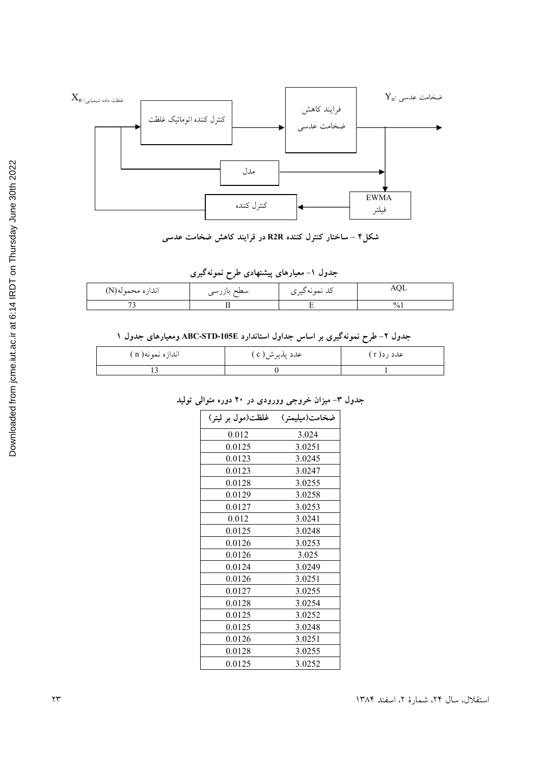

شکل۴ – ساختار کنترل کننده R2R در فرایند کاهش ضخامت عدسی

|  |  | جدول ۱– معیارهای پیشنهادی طرح نمونهگیری |  |
|--|--|-----------------------------------------|--|
|--|--|-----------------------------------------|--|

| اندازه محموله(N) | سطح بازرسى | دد ىموىەديرى | AQL   |
|------------------|------------|--------------|-------|
|                  |            |              | $\%1$ |

## جدول ۲– طرح نمونهگیری بر اساس جداول استاندارد ABC-STD-105E ومعیارهای جدول ۱

| اندازه نمونه( n ) | عدد پذيرش( c ) | عدد رد( r ) |
|-------------------|----------------|-------------|
|                   |                |             |

#### جدول ۳– میزان خروجی وورودی در ۲۰ دوره متوالی تولید

| غلظت(مول بر ليتر) | ضخامت(میلیمتر) |
|-------------------|----------------|
| 0.012             | 3.024          |
| 0.0125            | 3.0251         |
| 0.0123            | 3.0245         |
| 0.0123            | 3.0247         |
| 0.0128            | 3.0255         |
| 0.0129            | 3.0258         |
| 0.0127            | 3.0253         |
| 0.012             | 3.0241         |
| 0.0125            | 3.0248         |
| 0.0126            | 3.0253         |
| 0.0126            | 3.025          |
| 0.0124            | 3.0249         |
| 0.0126            | 3.0251         |
| 0.0127            | 3.0255         |
| 0.0128            | 3.0254         |
| 0.0125            | 3.0252         |
| 0.0125            | 3.0248         |
| 0.0126            | 3.0251         |
| 0.0128            | 3.0255         |
| 0.0125            | 3.0252         |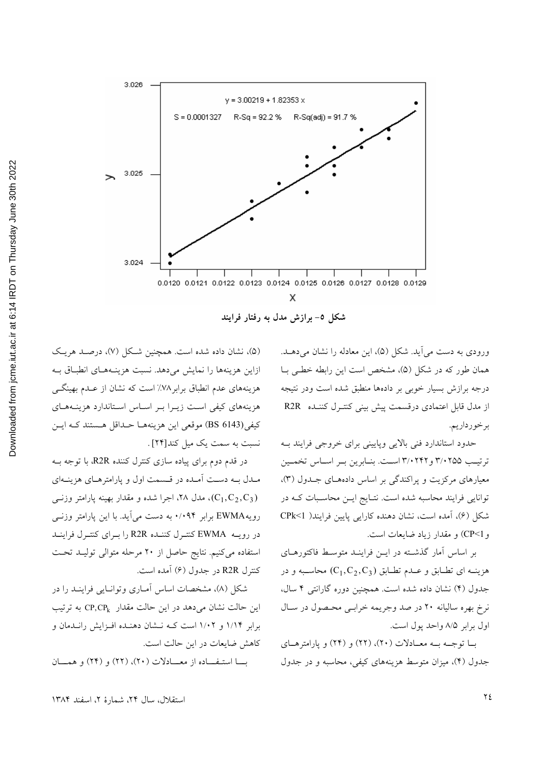

شکل ٥- برازش مدل به رفتار فرایند

ورودي به دست مي آيد. شكل (۵)، اين معادله را نشان مي دهـد. همان طور که در شکل (۵)، مشخص است این رابطه خطبی بـا درجه برازش بسیار خوبی بر دادهها منطبق شده است ودر نتیجه از مدل قابل اعتمادى درقسمت پيش بينى كنتـرل كننـده R2R بر خورداريم.

حدود استاندارد فني بالايي وپاييني براي خروجي فرايند بـه ترتيب ٣/٠٢٥٥ و٣/٠٢۴٢ است. بنـابرين بـر اسـاس تخمـين معیارهای مرکزیت و پراکندگی بر اساس دادههـای جـدول (۳)، توانایی فرایند محاسبه شده است. نتـایج ایـن محاسـبات کـه در شكل (۶)، آمده است، نشان دهنده كارايي پايين فرايند( CPk<1 و CP<1) و مقدار زياد ضايعات است.

بر اساس آمار گذشته در ایـن فراینـد متوسـط فاکتورهـای هزينــه اي تطــابق و عــدم تطــابق (C1,C2,C3) محاســبه و در جدول (۴) نشان داده شده است. همچنین دوره گارانتی ۴ سال، نرخ بهره سالیانه ۲۰ در صد وجریمه خرابـی محـصول در سـال اول برابر ٨/٥ واحد يول است.

با توجـه بـه معـادلات (٢٠)، (٢٢) و (٢۴) و يارامترهـاي جدول (۴)، ميزان متوسط هزينههاي كيفي، محاسبه و در جدول

(۵)، نشان داده شده است. همچنین شکل (۷)، درصـد هریـک ازاين هزينهها را نمايش مى دهد. نسبت هزينـههـاى انطبـاق بـه هزینههای عدم انطباق برابر ۷۸٪ است که نشان از عـدم بهینگـی هزینههای کیفی است زیـرا بـر اسـاس اسـتاندارد هزینـههـای كيفي (BS 6143) موقعي اين هزينههـا حـداقل هـستند كـه ايـن نسبت به سمت یک میل کند[۲۴].

در قدم دوم برای پیاده سازی کنترل کننده R2R، با توجه بــه مـدل بــه دسـت آمـده در قـسمت اول و پارامترهـاي هزينــهاي ، مدل ۲۸، اجرا شده و مقدار بهینه پارامتر وزنــی ( $\mathrm{C}_1, \mathrm{C}_2, \mathrm{C}_3$ ) رويه EWMA برابر ۰/۰۹۴ به دست مي آيد. با اين يارامتر وزنبي در رويـه EWMA كنتـرل كننـده R2R را بـراي كنتـرل فراينـد استفاده می کنیم. نتایج حاصل از ۲۰ مرحله متوالی تولیـد تحـت کنترل R2R در جدول (۶) آمده است.

شکل (۸)، مشخصات اساس آمـاری وتوانـایی فراینـد را در این حالت نشان می دهد در این حالت مقدار CP,CP به ترتیب برابر ۱/۱۴ و ۱/۰۲ است کـه نـشان دهنـده افـزايش رانـدمان و كاهش ضايعات در اين حالت است.

با استفاده از معادلات (٢٠)، (٢٢) و (٢۴) و همسان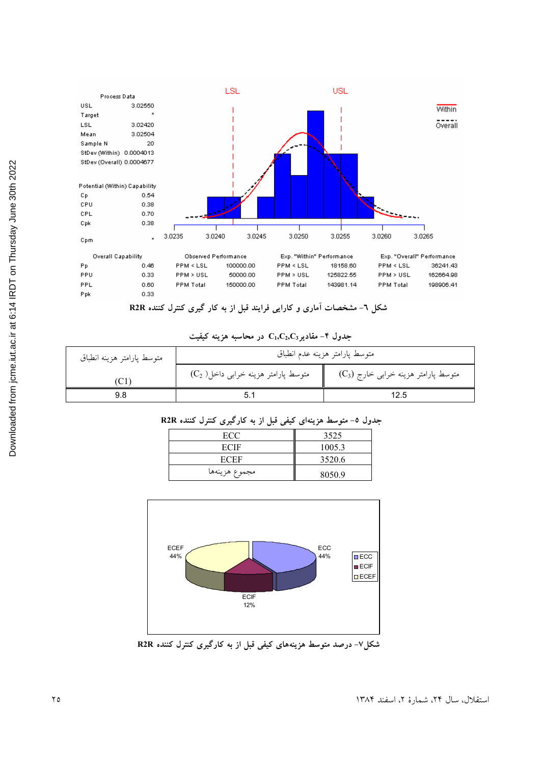

شکل ٦– مشخصات اماری و کارایی فرایند قبل از به کار گیری کنترل کننده R2R

|  |  |  |  | جدول ۴– مقادیر $\rm C_1, C_2, C_3$ در محاسبه هزینه کیفیت |  |
|--|--|--|--|----------------------------------------------------------|--|
|--|--|--|--|----------------------------------------------------------|--|

| متوسط پارامتر هزينه انطباق | متوسط پارامتر هزينه عدم انطباق                               |                                                              |  |
|----------------------------|--------------------------------------------------------------|--------------------------------------------------------------|--|
| U                          | متوسط پارامتر هزينه خراب <sub>ی</sub> داخل( C <sub>2</sub> ) | متوسط پارامتر هزینه خراب <sub>ی</sub> خارج (C <sub>3</sub> ) |  |
| 9.8                        |                                                              | 12.5                                                         |  |

## جدول ٥– متوسط هزینهای کیفی قبل از به کارگیری کنترل کننده R2R

| ECC           | 3525   |
|---------------|--------|
| <b>ECIF</b>   | 1005.3 |
| <b>ECEF</b>   | 3520.6 |
| مجموع هزينهها | 8050.9 |



شکل۷– درصد متوسط هزینههای کیفی قبل از به کارگیری کنترل کننده R2R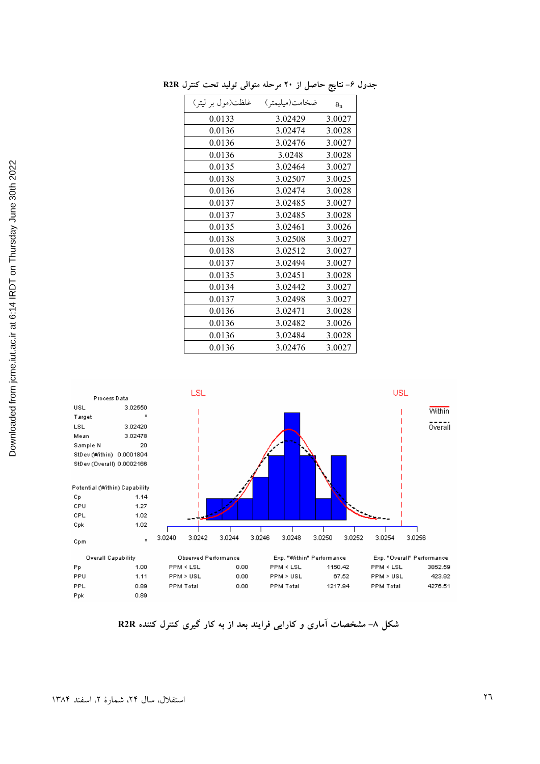| غلظت(مول بر ليتر) | ضخامت(میلیمتر) | $a_n$  |
|-------------------|----------------|--------|
| 0.0133            | 3.02429        | 3.0027 |
| 0.0136            | 3.02474        | 3.0028 |
| 0.0136            | 3.02476        | 3.0027 |
| 0.0136            | 3.0248         | 3.0028 |
| 0.0135            | 3.02464        | 3.0027 |
| 0.0138            | 3.02507        | 3.0025 |
| 0.0136            | 3.02474        | 3.0028 |
| 0.0137            | 3.02485        | 3.0027 |
| 0.0137            | 3.02485        | 3.0028 |
| 0.0135            | 3.02461        | 3.0026 |
| 0.0138            | 3.02508        | 3.0027 |
| 0.0138            | 3.02512        | 3.0027 |
| 0.0137            | 3.02494        | 3.0027 |
| 0.0135            | 3.02451        | 3.0028 |
| 0.0134            | 3.02442        | 3.0027 |
| 0.0137            | 3.02498        | 3.0027 |
| 0.0136            | 3.02471        | 3.0028 |
| 0.0136            | 3.02482        | 3.0026 |
| 0.0136            | 3.02484        | 3.0028 |
| 0.0136            | 3.02476        | 3.0027 |

جدول ۶– نتایج حاصل از ۲۰ مرحله متوالی تولید تحت کنترل R2R



شکل ۸– مشخصات آماری و کارایی فرایند بعد از به کار گیری کنترل کننده R2R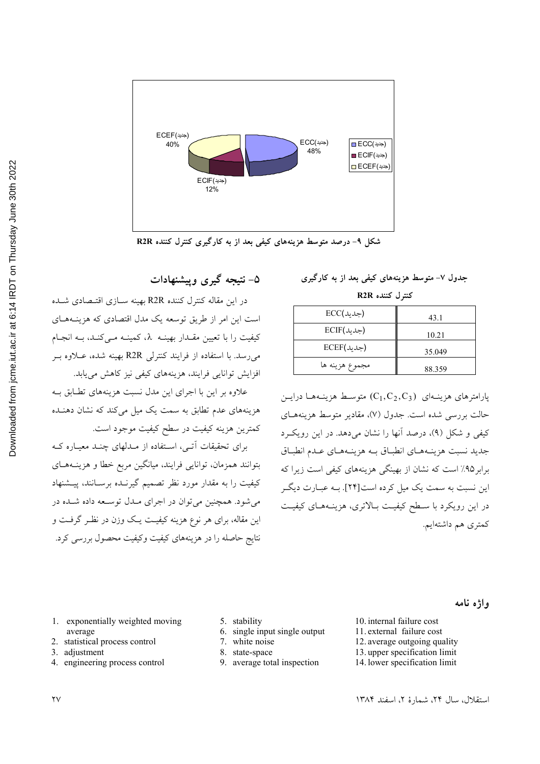

شکل ۹– درصد متوسط هزینههای کیفی بعد از به کارگیری کنترل کننده R2R

# **E&+%T J%6 h%! 5g**

در این مقاله کنترل کننده R2R بهینه ســازی اقتــصادی شــده است این امر از طریق توسعه یک مدل اقتصادی که هزینــههــای کیفیت را با تعیین مقـدار بهینـه ۸، کمینـه مـی کنـد، بـه انجـام می رسد. با استفاده از فرایند کنترلی R2R بهینه شده، عبلاوه ب افزایش توانایی فرایند، هزینههای کیفی نیز کاهش می یابد.

علاوه بر این با اجرای این مدل نسبت هزینههای تطـابق بـه هزینههای عدم تطابق به سمت یک میل میکند که نشان دهنـده كمترين هزينه كيفيت در سطح كيفيت موجود است.

برای تحقیقات آتبی، استفاده از مـدلهای چنـد معیـاره کـه بتوانند همزمان، توانایی فرایند، میانگین مربع خطا و هزینــههــای كيفيت را به مقدار مورد نظر تصميم گيرنـده برسـانند، پيــشنهاد میشود. همچنین میتوان در اجرای مـدل توسـعه داده شـده در این مقاله، برای هر نوع هزینه کیفیت یک وزن در نظـر گرفـت و نتایج حاصله را در هزینههای کیفیت وکیفیت محصول بررسی کرد.

## جدول ۷– متوسط هزینههای کیفی بعد از به کارگیری

 **R2R "**

| $\text{ECC}(\text{L})$                   | 43.1   |
|------------------------------------------|--------|
| $ECIF(\rightarrowtail)$                  | 10.21  |
| $ECEF(\downarrow \downarrow \downarrow)$ | 35.049 |
| مجموع هزينه ها                           | 88.359 |

 $\mathcal{C}_1, \mathcal{C}_2, \mathcal{C}_3$  پارامترهای هزینـههـا درایـن حالت بررسی شده است. جدول (V)، مقادیر متوسط هزینههــای کیفی و شکل (۹)، درصد آنها را نشان می دهد. در این رویک د جديد نسبت هزينــهـاى انطبــاق بــه هزينــههــاى عــدم انطبــاق برابر ۹۵٪ است که نشان از بهینگی هزینههای کیفی است زیرا که این نسبت به سمت یک میل کرده است[۲۴]. بــه عبــارت دیگــر در این رویکرد با سطح کیفیت بالاتری، هزینـههـای کیفیـت كمترى هم داشتهايم.

#### واژه **نامه**

- 1. exponentially weighted moving average
- 2. statistical process control
- 3. adjustment
- 4. engineering process control
- 5. stability
- 6. single input single output
- 7. white noise
- 8. state-space
- 9. average total inspection
- 10. internal failure cost
- 11. external failure cost
- 12. average outgoing quality 13. upper specification limit
- 14. lower specification limit